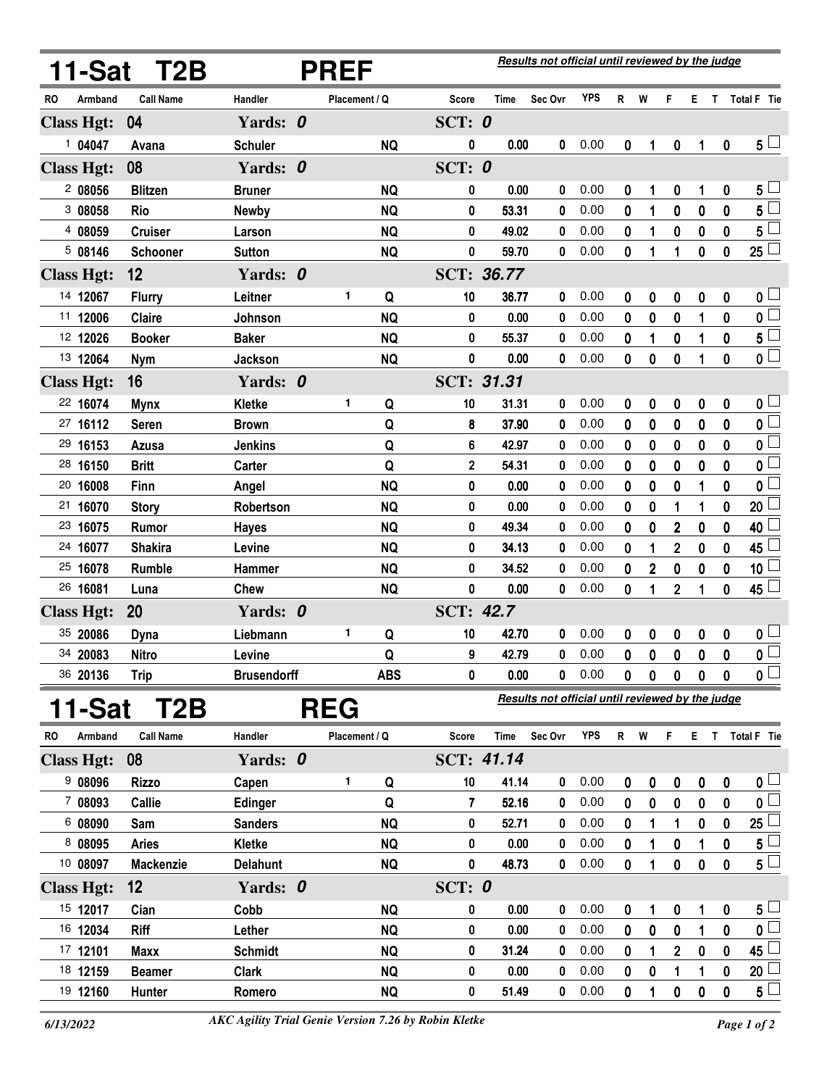|           |                   | 11-Sat T2B       |                    |  | <b>PREF</b>   |            | Results not official until reviewed by the judge |                   |             |            |          |          |                |                  |          |                           |
|-----------|-------------------|------------------|--------------------|--|---------------|------------|--------------------------------------------------|-------------------|-------------|------------|----------|----------|----------------|------------------|----------|---------------------------|
| <b>RO</b> | Armband           | <b>Call Name</b> | Handler            |  | Placement / Q |            | Score                                            | <b>Time</b>       | Sec Ovr     | <b>YPS</b> | R W      |          | F.             |                  |          | E T Total F Tie           |
|           | <b>Class Hgt:</b> | 04               | Yards: 0           |  |               |            | SCT: $0$                                         |                   |             |            |          |          |                |                  |          |                           |
|           | 104047            | Avana            | <b>Schuler</b>     |  |               | <b>NQ</b>  | 0                                                | 0.00              | 0           | 0.00       | 0        | 1        | 0              | 1                | 0        | 5 <sub>1</sub>            |
|           | <b>Class Hgt:</b> | 08               | Yards: 0           |  |               |            | SCT: 0                                           |                   |             |            |          |          |                |                  |          |                           |
|           | 2 08056           | <b>Blitzen</b>   | <b>Bruner</b>      |  |               | <b>NQ</b>  | 0                                                | 0.00              | 0           | 0.00       | 0        | 1        | 0              | 1                | 0        | $5^{\perp}$               |
|           | 3 08058           | Rio              | <b>Newby</b>       |  |               | <b>NQ</b>  | 0                                                | 53.31             | 0           | 0.00       | 0        | 1        | 0              | 0                | 0        | $5^{\overline{}}$         |
|           | 4 08059           | <b>Cruiser</b>   | Larson             |  |               | <b>NQ</b>  | 0                                                | 49.02             | 0           | 0.00       | 0        | 1        | 0              | 0                | 0        | $5^{\square}$             |
|           | 5 08146           | Schooner         | <b>Sutton</b>      |  |               | <b>NQ</b>  | 0                                                | 59.70             | 0           | 0.00       | 0        | 1        | 1              | 0                | 0        | $\overline{25}$           |
|           | <b>Class Hgt:</b> | 12               | Yards: 0           |  |               |            |                                                  | SCT: 36.77        |             |            |          |          |                |                  |          |                           |
|           | 14 12067          | <b>Flurry</b>    | Leitner            |  | 1             | Q          | 10                                               | 36.77             | 0           | 0.00       | 0        | 0        | 0              | 0                | 0        | 0 <sub>1</sub>            |
|           | 11 12006          | <b>Claire</b>    | Johnson            |  |               | <b>NQ</b>  | 0                                                | 0.00              | 0           | 0.00       | 0        | 0        | 0              | 1                | 0        | $\overline{\mathbf{0}}$   |
|           | 12 12026          | <b>Booker</b>    | <b>Baker</b>       |  |               | <b>NQ</b>  | 0                                                | 55.37             | 0           | 0.00       | 0        | 1        | 0              | 1                | 0        | $5^{\square}$             |
|           | 13 12064          | <b>Nym</b>       | Jackson            |  |               | <b>NQ</b>  | 0                                                | 0.00              | 0           | 0.00       | 0        | 0        | 0              | 1                | 0        | $\overline{\mathbf{0}}$   |
|           | <b>Class Hgt:</b> | 16               | Yards: 0           |  |               |            |                                                  | <b>SCT: 31.31</b> |             |            |          |          |                |                  |          |                           |
|           | 22 16074          | <b>Mynx</b>      | Kletke             |  | 1             | Q          | 10                                               | 31.31             | 0           | 0.00       | 0        | 0        | 0              | 0                | 0        | 0 <sub>1</sub>            |
|           | 27 16112          | <b>Seren</b>     | <b>Brown</b>       |  |               | Q          | 8                                                | 37.90             | 0           | 0.00       | 0        | 0        | 0              | 0                | 0        | $\overline{\mathbf{0}}$   |
|           | 29 16153          | Azusa            | <b>Jenkins</b>     |  |               | Q          | 6                                                | 42.97             | 0           | 0.00       | 0        | 0        | 0              | 0                | 0        | $\overline{\mathfrak{o}}$ |
|           | 28 16150          | <b>Britt</b>     | Carter             |  |               | Q          | $\mathbf 2$                                      | 54.31             | 0           | 0.00       | 0        | 0        | 0              | 0                | 0        | 0 <sup>1</sup>            |
|           | 20 16008          | Finn             | Angel              |  |               | <b>NQ</b>  | 0                                                | 0.00              | 0           | 0.00       | 0        | 0        | 0              | 1                | $\bf{0}$ | $\mathbf 0$               |
|           | 21 16070          | <b>Story</b>     | Robertson          |  |               | <b>NQ</b>  | 0                                                | 0.00              | 0           | 0.00       | 0        | 0        | 1              | 1                | 0        | 20                        |
|           | 23 16075          | Rumor            | <b>Hayes</b>       |  |               | <b>NQ</b>  | 0                                                | 49.34             | 0           | 0.00       | 0        | 0        | $\mathbf 2$    | 0                | $\bf{0}$ | 40                        |
|           | 24 16077          | <b>Shakira</b>   | Levine             |  |               | <b>NQ</b>  | 0                                                | 34.13             | 0           | 0.00       | 0        | 1        | $\overline{2}$ | 0                | 0        | 45 <sup>1</sup>           |
|           | 25 16078          | Rumble           | Hammer             |  |               | <b>NQ</b>  | 0                                                | 34.52             | 0           | 0.00       | 0        | 2        | 0              | 0                | 0        | 10                        |
|           | 26 16081          | Luna             | Chew               |  |               | <b>NQ</b>  | 0                                                | 0.00              | 0           | 0.00       | $\bf{0}$ | 1        | $\mathbf{2}$   | 1                | 0        | 45 <sup>1</sup>           |
|           | <b>Class Hgt:</b> | 20               | Yards: 0           |  |               |            | <b>SCT: 42.7</b>                                 |                   |             |            |          |          |                |                  |          |                           |
|           | 35 20086          | <b>Dyna</b>      | Liebmann           |  | 1             | Q          | 10                                               | 42.70             | 0           | 0.00       | 0        | 0        | 0              | $\boldsymbol{0}$ | 0        | $\mathbf{0}$ $\Box$       |
|           | 34 20083          | Nitro            | Levine             |  |               | Q          | 9                                                | 42.79             | 0           | 0.00       | 0        | 0        | 0              | 0                | 0        | $\overline{\mathbf{0}}$   |
|           | 36 20136          | <b>Trip</b>      | <b>Brusendorff</b> |  |               | <b>ABS</b> | 0                                                | 0.00              | $\mathbf 0$ | 0.00       | 0        | 0        | $\mathbf 0$    | 0                | 0        | $\overline{\mathbf{0}}$   |
|           |                   | 11-Sat T2B       | <b>REG</b>         |  |               |            | Results not official until reviewed by the judge |                   |             |            |          |          |                |                  |          |                           |
| RO.       | Armband           | <b>Call Name</b> | Handler            |  | Placement / Q |            | Score                                            | <b>Time</b>       | Sec Ovr     | <b>YPS</b> | R W      |          | F.             | E.               |          | T Total F Tie             |
|           | <b>Class Hgt:</b> | 08               | Yards: 0           |  |               |            |                                                  | SCT: 41.14        |             |            |          |          |                |                  |          |                           |
|           | 908096            | <b>Rizzo</b>     | Capen              |  | 1.            | Q          | 10                                               | 41.14             | 0           | 0.00       | 0        | 0        | 0              | $\mathbf 0$      | 0        | $\mathfrak{o} \sqcup$     |
|           | 7 08093           | Callie           | Edinger            |  |               | Q          | 7                                                | 52.16             | 0           | 0.00       | 0        | 0        | 0              | 0                | 0        | $\overline{\mathbf{0}}$   |
|           | 6 08090           | Sam              | <b>Sanders</b>     |  |               | <b>NQ</b>  | 0                                                | 52.71             | 0           | 0.00       | 0        | 1        | 1              | 0                | 0        | 25 <sup>1</sup>           |
|           | 8 08095           | <b>Aries</b>     | Kletke             |  |               | <b>NQ</b>  | 0                                                | 0.00              | 0           | 0.00       | 0        | 1        | 0              | 1                | 0        | $5 -$                     |
|           | 10 08097          | <b>Mackenzie</b> | <b>Delahunt</b>    |  |               | <b>NQ</b>  | 0                                                | 48.73             | 0           | 0.00       | 0        | 1        | 0              | 0                | 0        | 5 <sub>1</sub>            |
|           | <b>Class Hgt:</b> | 12               | Yards: 0           |  |               |            | SCT: 0                                           |                   |             |            |          |          |                |                  |          |                           |
|           | 15 12017          | Cian             | Cobb               |  |               | <b>NQ</b>  | 0                                                | 0.00              | 0           | 0.00       | 0        | 1        | 0              | 1                | 0        | $5 -$                     |
|           | 16 12034          | Riff             | Lether             |  |               | <b>NQ</b>  | 0                                                | 0.00              | 0           | 0.00       | 0        | $\bf{0}$ | 0              | 1                | 0        | $0\frac{1}{2}$            |
|           | 17 12101          | Maxx             | <b>Schmidt</b>     |  |               | <b>NQ</b>  | 0                                                | 31.24             | 0           | 0.00       | 0        | 1        | $\mathbf 2$    | 0                | 0        | 45 <sup>1</sup>           |
|           | 18 12159          | <b>Beamer</b>    | <b>Clark</b>       |  |               | <b>NQ</b>  | 0                                                | 0.00              | 0           | 0.00       | 0        | 0        | 1              | 1                | 0        | 20                        |
|           | 19 12160          | Hunter           | Romero             |  |               | <b>NQ</b>  | 0                                                | 51.49             | $\mathbf 0$ | 0.00       | 0        | 1        | 0              | 0                | 0        | $5^{\perp}$               |